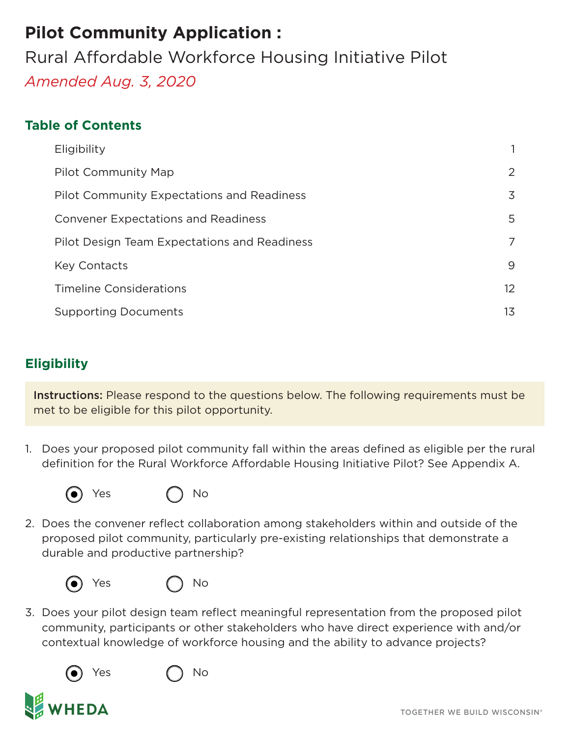## **Pilot Community Application :**

Rural Affordable Workforce Housing Initiative Pilot *Amended Aug. 3, 2020*

#### **Table of Contents**

| Eligibility                                       | 1               |
|---------------------------------------------------|-----------------|
| Pilot Community Map                               | 2               |
| <b>Pilot Community Expectations and Readiness</b> | 3               |
| <b>Convener Expectations and Readiness</b>        | 5               |
| Pilot Design Team Expectations and Readiness      | 7               |
| <b>Key Contacts</b>                               | 9               |
| <b>Timeline Considerations</b>                    | 12 <sup>2</sup> |
| <b>Supporting Documents</b>                       | 13              |

## **Eligibility**

Instructions: Please respond to the questions below. The following requirements must be met to be eligible for this pilot opportunity.

1. Does your proposed pilot community fall within the areas defined as eligible per the rural definition for the Rural Workforce Affordable Housing Initiative Pilot? [See Appendix A.](#page-13-0)



Yes (1) No

2. Does the convener reflect collaboration among stakeholders within and outside of the proposed pilot community, particularly pre-existing relationships that demonstrate a durable and productive partnership?





3. Does your pilot design team reflect meaningful representation from the proposed pilot community, participants or other stakeholders who have direct experience with and/or contextual knowledge of workforce housing and the ability to advance projects?



Yes ( ) No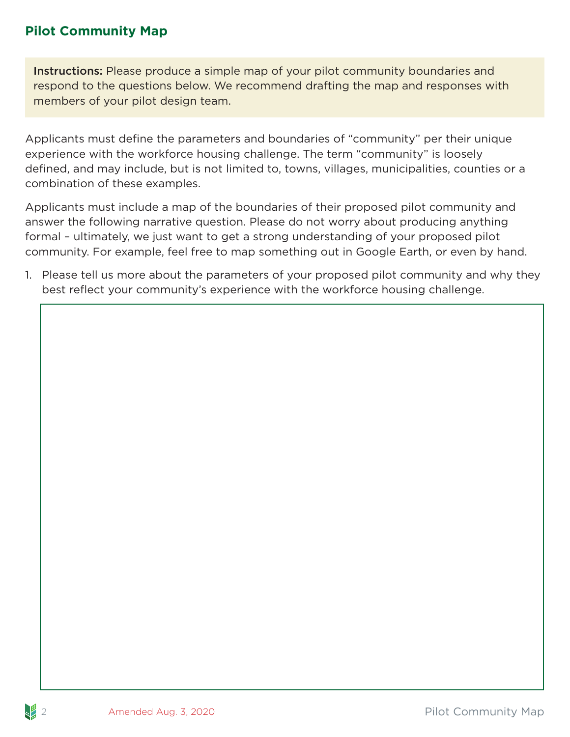#### <span id="page-1-0"></span>**Pilot Community Map**

Instructions: Please produce a simple map of your pilot community boundaries and respond to the questions below. We recommend drafting the map and responses with members of your pilot design team.

Applicants must define the parameters and boundaries of "community" per their unique experience with the workforce housing challenge. The term "community" is loosely defined, and may include, but is not limited to, towns, villages, municipalities, counties or a combination of these examples.

Applicants must include a map of the boundaries of their proposed pilot community and answer the following narrative question. Please do not worry about producing anything formal – ultimately, we just want to get a strong understanding of your proposed pilot community. For example, feel free to map something out in Google Earth, or even by hand.

1. Please tell us more about the parameters of your proposed pilot community and why they best reflect your community's experience with the workforce housing challenge.

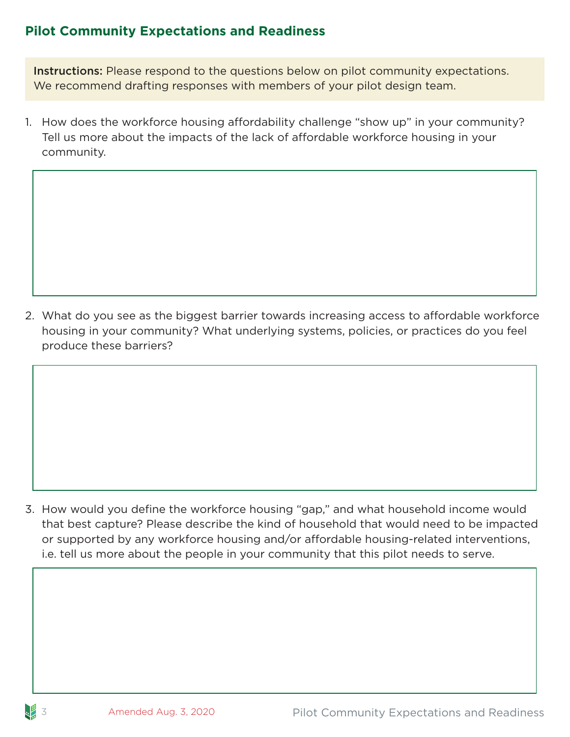#### <span id="page-2-0"></span>**Pilot Community Expectations and Readiness**

Instructions: Please respond to the questions below on pilot community expectations. We recommend drafting responses with members of your pilot design team.

1. How does the workforce housing affordability challenge "show up" in your community? Tell us more about the impacts of the lack of affordable workforce housing in your community.

2. What do you see as the biggest barrier towards increasing access to affordable workforce housing in your community? What underlying systems, policies, or practices do you feel produce these barriers?

3. How would you define the workforce housing "gap," and what household income would that best capture? Please describe the kind of household that would need to be impacted or supported by any workforce housing and/or affordable housing-related interventions, i.e. tell us more about the people in your community that this pilot needs to serve.

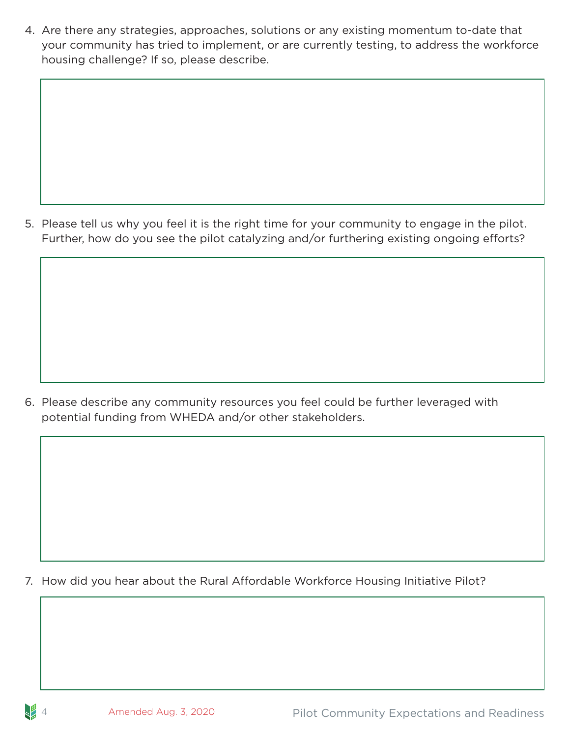4. Are there any strategies, approaches, solutions or any existing momentum to-date that your community has tried to implement, or are currently testing, to address the workforce housing challenge? If so, please describe.

5. Please tell us why you feel it is the right time for your community to engage in the pilot. Further, how do you see the pilot catalyzing and/or furthering existing ongoing efforts?

6. Please describe any community resources you feel could be further leveraged with potential funding from WHEDA and/or other stakeholders.

7. How did you hear about the Rural Affordable Workforce Housing Initiative Pilot?

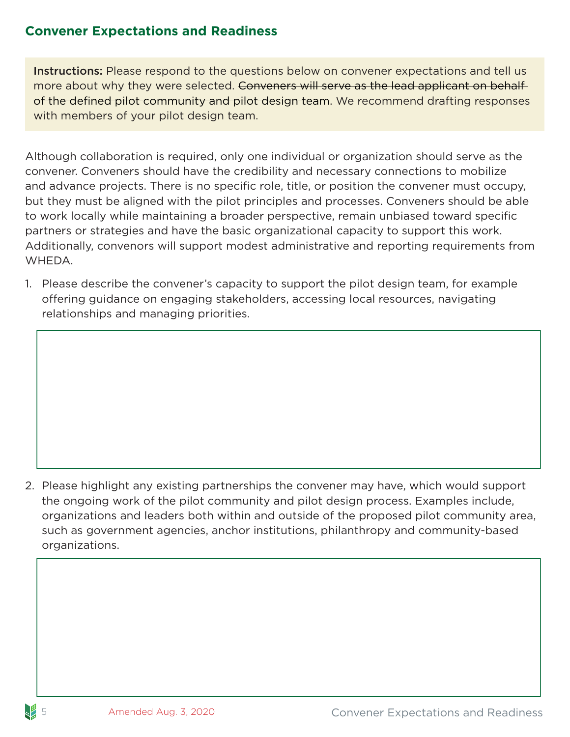#### <span id="page-4-0"></span>**Convener Expectations and Readiness**

Instructions: Please respond to the questions below on convener expectations and tell us more about why they were selected. Conveners will serve as the lead applicant on behalf of the defined pilot community and pilot design team. We recommend drafting responses with members of your pilot design team.

Although collaboration is required, only one individual or organization should serve as the convener. Conveners should have the credibility and necessary connections to mobilize and advance projects. There is no specific role, title, or position the convener must occupy, but they must be aligned with the pilot principles and processes. Conveners should be able to work locally while maintaining a broader perspective, remain unbiased toward specific partners or strategies and have the basic organizational capacity to support this work. Additionally, convenors will support modest administrative and reporting requirements from WHEDA.

1. Please describe the convener's capacity to support the pilot design team, for example offering guidance on engaging stakeholders, accessing local resources, navigating relationships and managing priorities.

2. Please highlight any existing partnerships the convener may have, which would support the ongoing work of the pilot community and pilot design process. Examples include, organizations and leaders both within and outside of the proposed pilot community area, such as government agencies, anchor institutions, philanthropy and community-based organizations.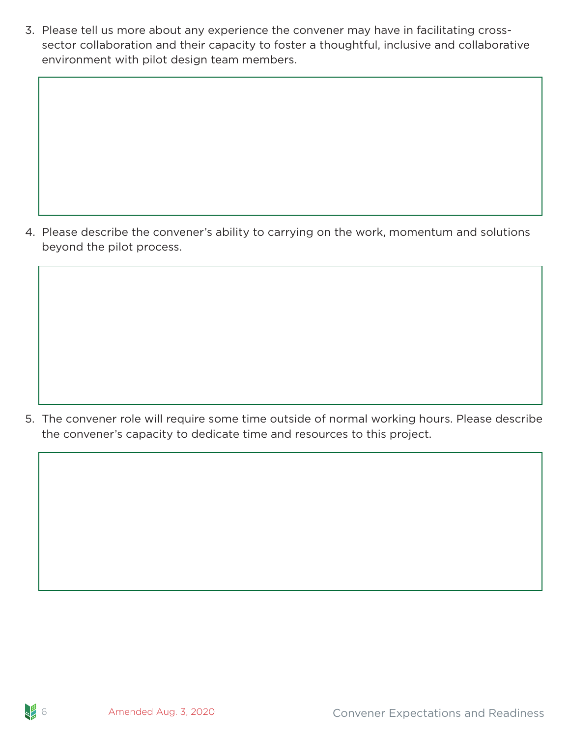3. Please tell us more about any experience the convener may have in facilitating crosssector collaboration and their capacity to foster a thoughtful, inclusive and collaborative environment with pilot design team members.

4. Please describe the convener's ability to carrying on the work, momentum and solutions beyond the pilot process.

5. The convener role will require some time outside of normal working hours. Please describe the convener's capacity to dedicate time and resources to this project.

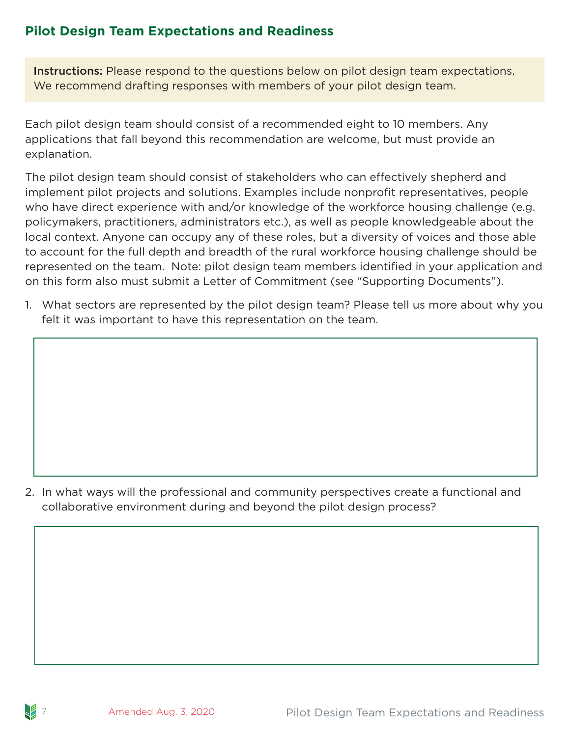### <span id="page-6-0"></span>**Pilot Design Team Expectations and Readiness**

Instructions: Please respond to the questions below on pilot design team expectations. We recommend drafting responses with members of your pilot design team.

Each pilot design team should consist of a recommended eight to 10 members. Any applications that fall beyond this recommendation are welcome, but must provide an explanation.

The pilot design team should consist of stakeholders who can effectively shepherd and implement pilot projects and solutions. Examples include nonprofit representatives, people who have direct experience with and/or knowledge of the workforce housing challenge (e.g. policymakers, practitioners, administrators etc.), as well as people knowledgeable about the local context. Anyone can occupy any of these roles, but a diversity of voices and those able to account for the full depth and breadth of the rural workforce housing challenge should be represented on the team. Note: pilot design team members identified in your application and on this form also must submit a Letter of Commitment (see "Supporting Documents").

1. What sectors are represented by the pilot design team? Please tell us more about why you felt it was important to have this representation on the team.

2. In what ways will the professional and community perspectives create a functional and collaborative environment during and beyond the pilot design process?

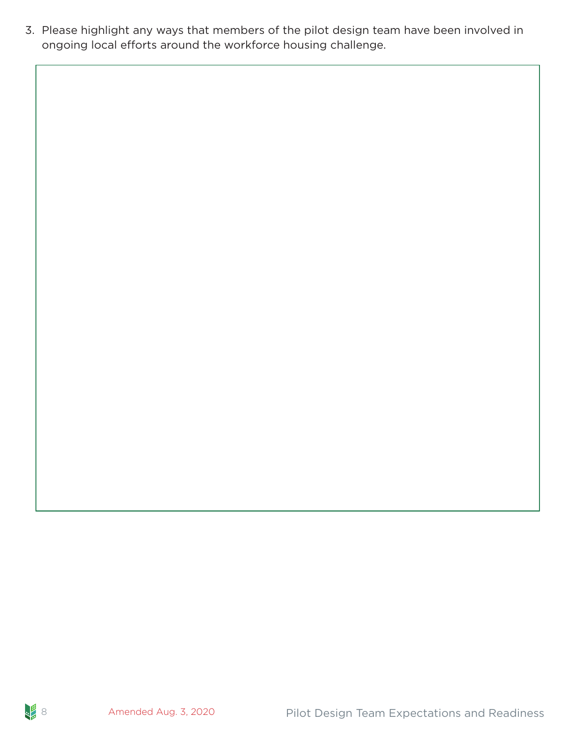3. Please highlight any ways that members of the pilot design team have been involved in ongoing local efforts around the workforce housing challenge.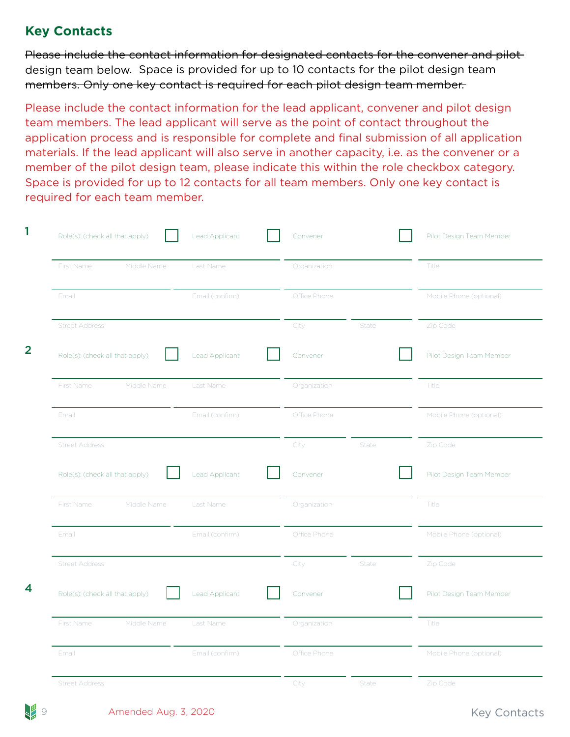#### <span id="page-8-0"></span>**Key Contacts**

Please include the contact information for designated contacts for the convener and pilotdesign team below. Space is provided for up to 10 contacts for the pilot design team members. Only one key contact is required for each pilot design team member.

Please include the contact information for the lead applicant, convener and pilot design team members. The lead applicant will serve as the point of contact throughout the application process and is responsible for complete and final submission of all application materials. If the lead applicant will also serve in another capacity, i.e. as the convener or a member of the pilot design team, please indicate this within the role checkbox category. Space is provided for up to 12 contacts for all team members. Only one key contact is required for each team member.

|       | Role(s): (check all that apply) |             | Lead Applicant  | Convener     |       | Pilot Design Team Member |
|-------|---------------------------------|-------------|-----------------|--------------|-------|--------------------------|
|       | First Name                      | Middle Name | Last Name       | Organization |       | <b>Title</b>             |
| Email |                                 |             | Email (confirm) | Office Phone |       | Mobile Phone (optional)  |
|       | <b>Street Address</b>           |             |                 | City         | State | Zip Code                 |
|       | Role(s): (check all that apply) |             | Lead Applicant  | Convener     |       | Pilot Design Team Member |
|       | First Name                      | Middle Name | Last Name       | Organization |       | Title                    |
| Email |                                 |             | Email (confirm) | Office Phone |       | Mobile Phone (optional)  |
|       | <b>Street Address</b>           |             |                 | City         | State | Zip Code                 |
|       | Role(s): (check all that apply) |             | Lead Applicant  | Convener     |       | Pilot Design Team Member |
|       | First Name                      | Middle Name | Last Name       | Organization |       | Title                    |
| Email |                                 |             | Email (confirm) | Office Phone |       | Mobile Phone (optional)  |
|       | <b>Street Address</b>           |             |                 | City         | State | Zip Code                 |
|       | Role(s): (check all that apply) |             | Lead Applicant  | Convener     |       | Pilot Design Team Member |
|       | First Name                      | Middle Name | Last Name       | Organization |       | <b>Title</b>             |
| Email |                                 |             | Email (confirm) | Office Phone |       | Mobile Phone (optional)  |
|       | <b>Street Address</b>           |             |                 | City         | State | Zip Code                 |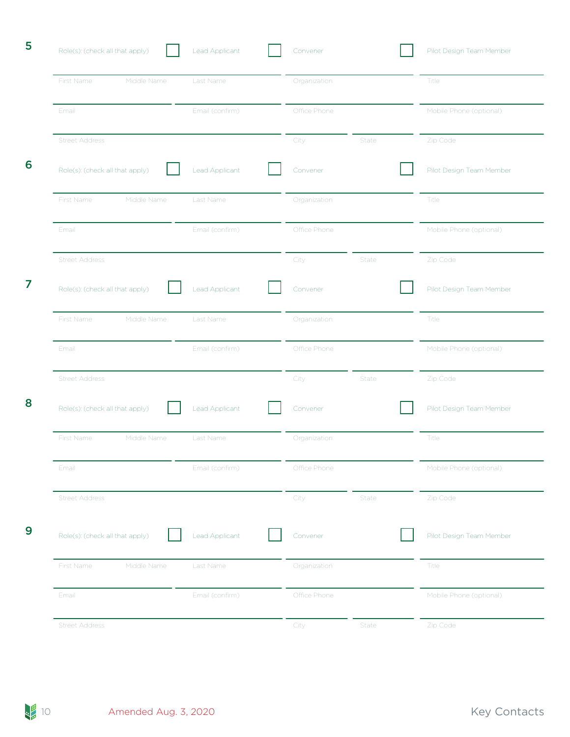| 5 | Role(s): (check all that apply) | Lead Applicant  | Convener      | Pilot Design Team Member |
|---|---------------------------------|-----------------|---------------|--------------------------|
|   | Middle Name<br>First Name       | Last Name       | Organization  | Title                    |
|   | Email                           | Email (confirm) | Office Phone  | Mobile Phone (optional)  |
|   | <b>Street Address</b>           |                 | City<br>State | Zip Code                 |
| 6 | Role(s): (check all that apply) | Lead Applicant  | Convener      | Pilot Design Team Member |
|   | First Name<br>Middle Name       | Last Name       | Organization  | Title                    |
|   | Email                           | Email (confirm) | Office Phone  | Mobile Phone (optional)  |
|   | <b>Street Address</b>           |                 | City<br>State | Zip Code                 |
| 7 | Role(s): (check all that apply) | Lead Applicant  | Convener      | Pilot Design Team Member |
|   | Middle Name<br>First Name       | Last Name       | Organization  | Title                    |
|   | Email                           | Email (confirm) | Office Phone  | Mobile Phone (optional)  |
|   | <b>Street Address</b>           |                 | City<br>State | Zip Code                 |
| 8 | Role(s): (check all that apply) | Lead Applicant  | Convener      | Pilot Design Team Member |
|   | Middle Name<br>First Name       | Last Name       | Organization  | Title                    |
|   | Email                           | Email (confirm) | Office Phone  | Mobile Phone (optional)  |
|   | <b>Street Address</b>           |                 | City<br>State | Zip Code                 |
| 9 | Role(s): (check all that apply) | Lead Applicant  | Convener      | Pilot Design Team Member |
|   | Middle Name<br>First Name       | Last Name       | Organization  | Title                    |
|   | Email                           | Email (confirm) | Office Phone  | Mobile Phone (optional)  |
|   | <b>Street Address</b>           |                 | City<br>State | Zip Code                 |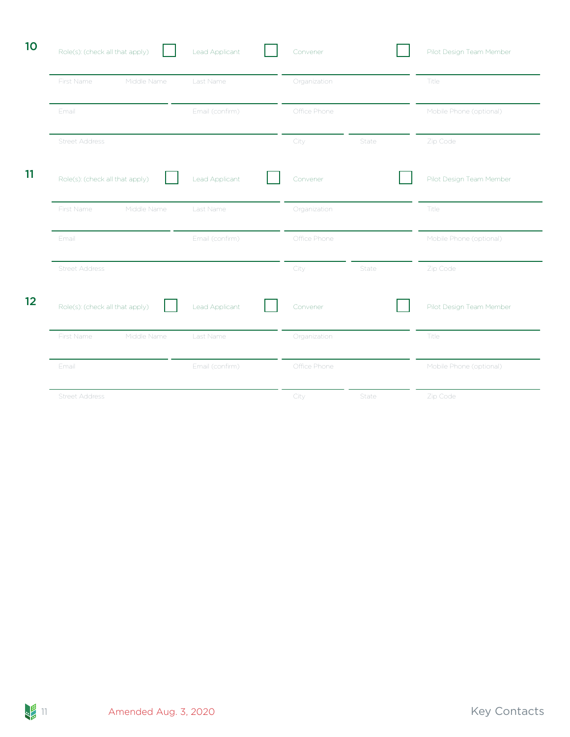| 10 | Role(s): (check all that apply) | Lead Applicant  | Convener      | Pilot Design Team Member |
|----|---------------------------------|-----------------|---------------|--------------------------|
|    | Middle Name<br>First Name       | Last Name       | Organization  | Title                    |
|    | Email                           | Email (confirm) | Office Phone  | Mobile Phone (optional)  |
|    | <b>Street Address</b>           |                 | City<br>State | Zip Code                 |
| 11 | Role(s): (check all that apply) | Lead Applicant  | Convener      | Pilot Design Team Member |
|    | First Name<br>Middle Name       | Last Name       | Organization  | Title                    |
|    | Email                           | Email (confirm) | Office Phone  | Mobile Phone (optional)  |
|    | <b>Street Address</b>           |                 | City<br>State | Zip Code                 |
| 12 | Role(s): (check all that apply) | Lead Applicant  | Convener      | Pilot Design Team Member |
|    | First Name<br>Middle Name       | Last Name       | Organization  | Title                    |
|    | Email                           | Email (confirm) | Office Phone  | Mobile Phone (optional)  |
|    | <b>Street Address</b>           |                 | State<br>City | Zip Code                 |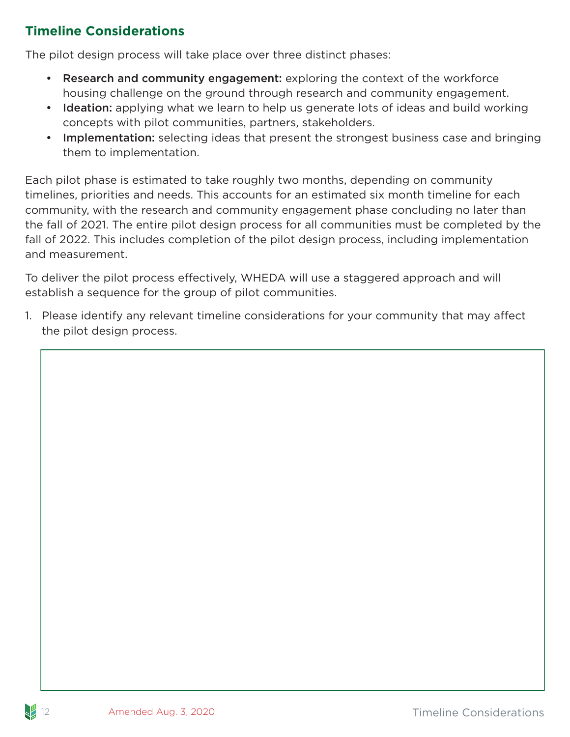### <span id="page-11-0"></span>**Timeline Considerations**

The pilot design process will take place over three distinct phases:

- Research and community engagement: exploring the context of the workforce housing challenge on the ground through research and community engagement.
- Ideation: applying what we learn to help us generate lots of ideas and build working concepts with pilot communities, partners, stakeholders.
- Implementation: selecting ideas that present the strongest business case and bringing them to implementation.

Each pilot phase is estimated to take roughly two months, depending on community timelines, priorities and needs. This accounts for an estimated six month timeline for each community, with the research and community engagement phase concluding no later than the fall of 2021. The entire pilot design process for all communities must be completed by the fall of 2022. This includes completion of the pilot design process, including implementation and measurement.

To deliver the pilot process effectively, WHEDA will use a staggered approach and will establish a sequence for the group of pilot communities.

1. Please identify any relevant timeline considerations for your community that may affect the pilot design process.

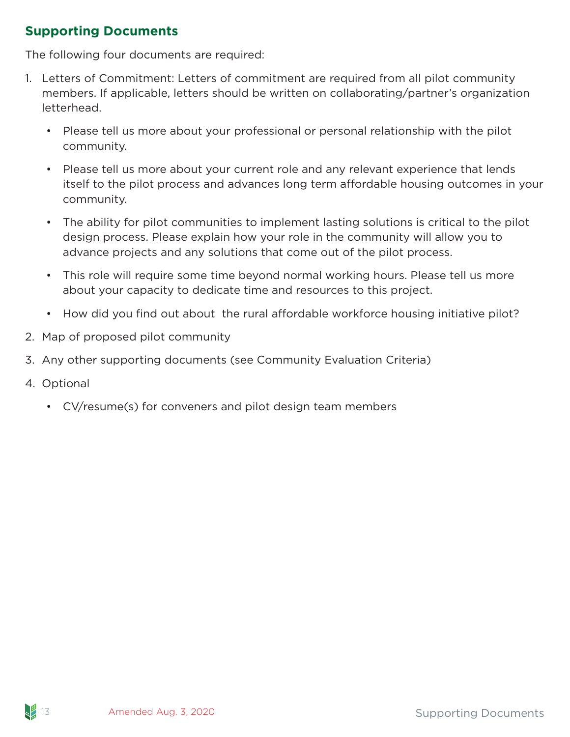### **Supporting Documents**

The following four documents are required:

- 1. Letters of Commitment: Letters of commitment are required from all pilot community members. If applicable, letters should be written on collaborating/partner's organization letterhead.
	- Please tell us more about your professional or personal relationship with the pilot community.
	- Please tell us more about your current role and any relevant experience that lends itself to the pilot process and advances long term affordable housing outcomes in your community.
	- The ability for pilot communities to implement lasting solutions is critical to the pilot design process. Please explain how your role in the community will allow you to advance projects and any solutions that come out of the pilot process.
	- This role will require some time beyond normal working hours. Please tell us more about your capacity to dedicate time and resources to this project.
	- How did you find out about the rural affordable workforce housing initiative pilot?
- 2. Map of proposed pilot community
- 3. Any other supporting documents (see Community Evaluation Criteria)
- 4. Optional
	- CV/resume(s) for conveners and pilot design team members